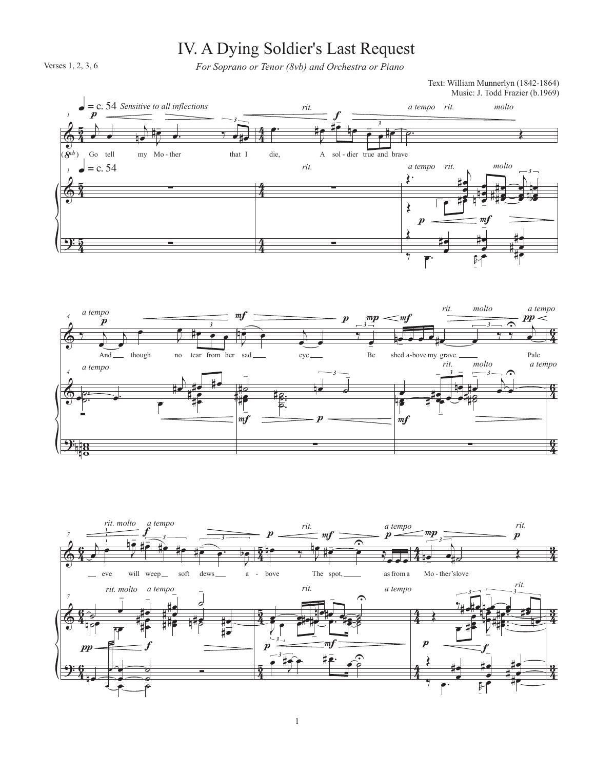## IV. A Dying Soldier's Last Request

Verses 1, 2, 3, 6 *For Soprano or Tenor (8vb) and Orchestra or Piano*

Text: William Munnerlyn (1842-1864) Music: J. Todd Frazier (b.1969)





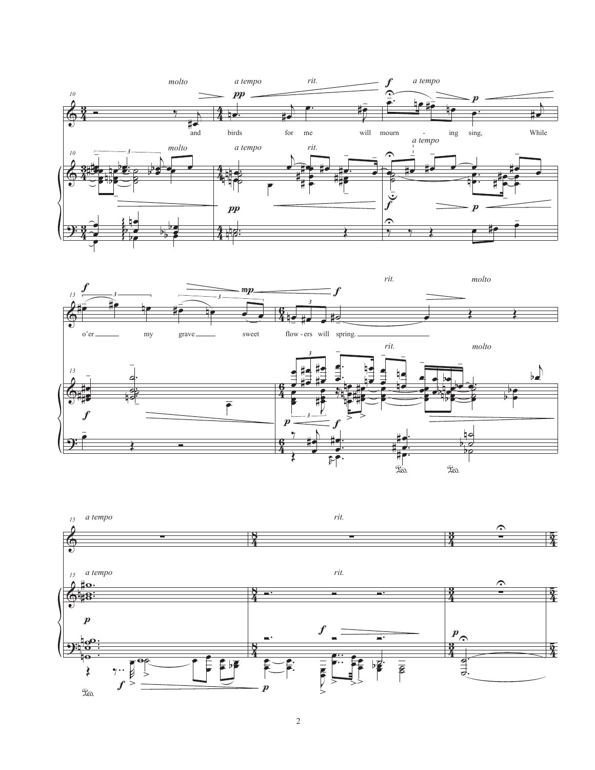



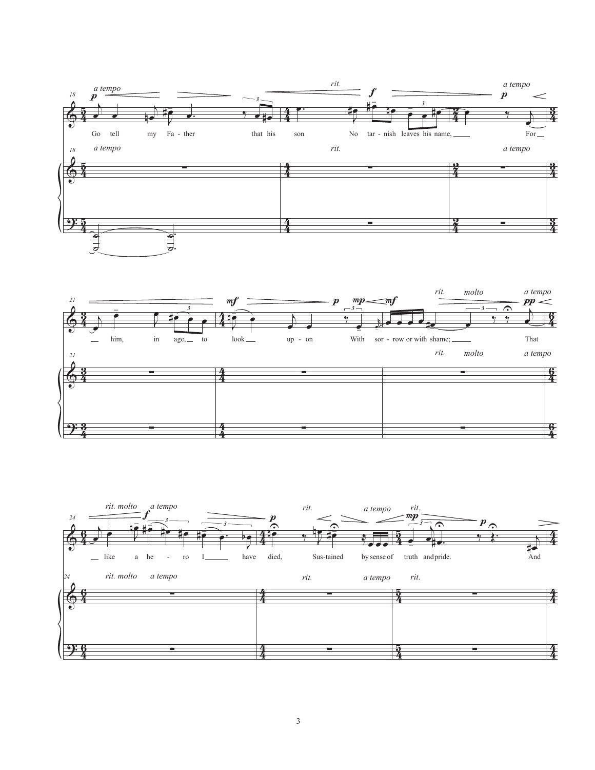



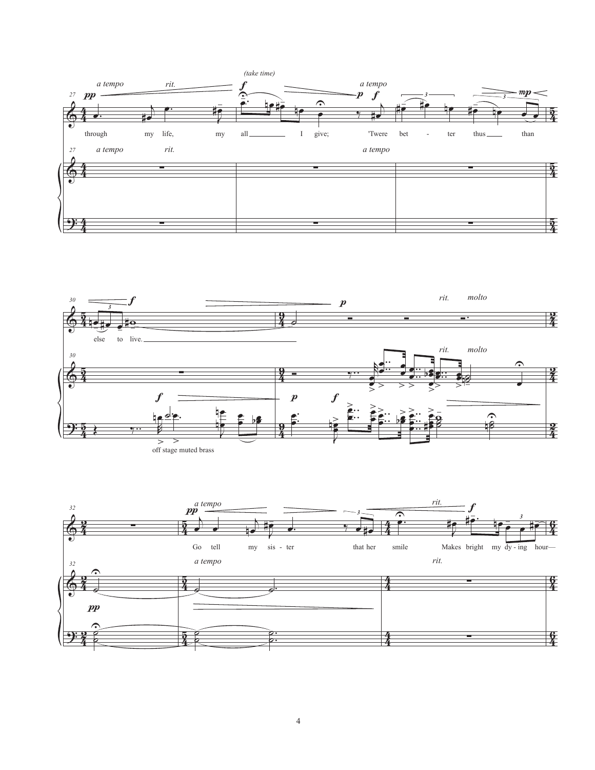



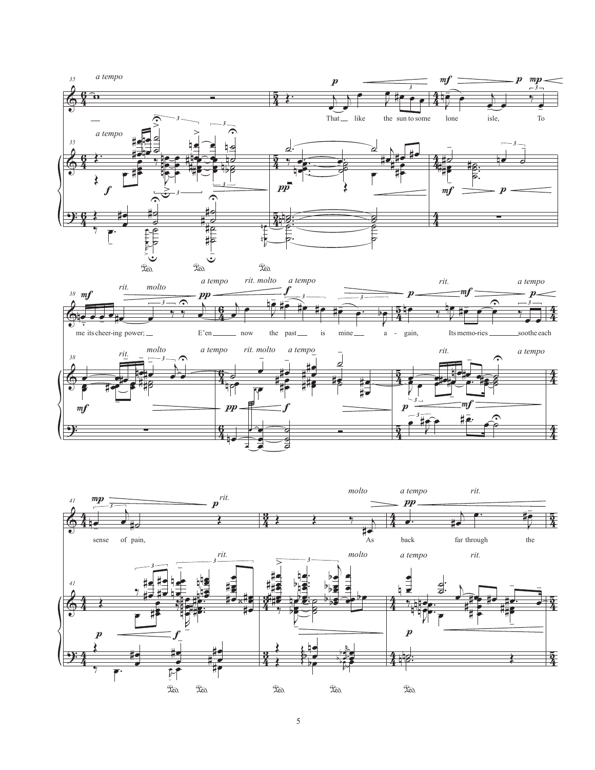

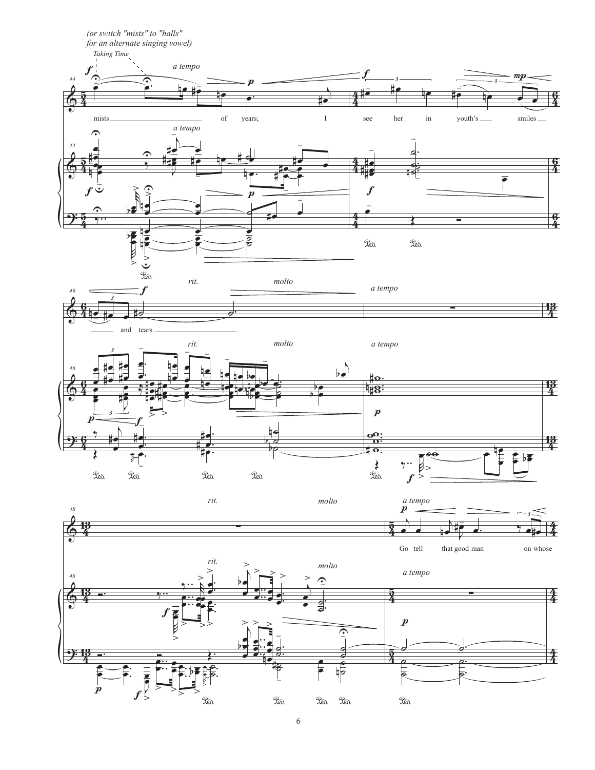

 $\sqrt{6}$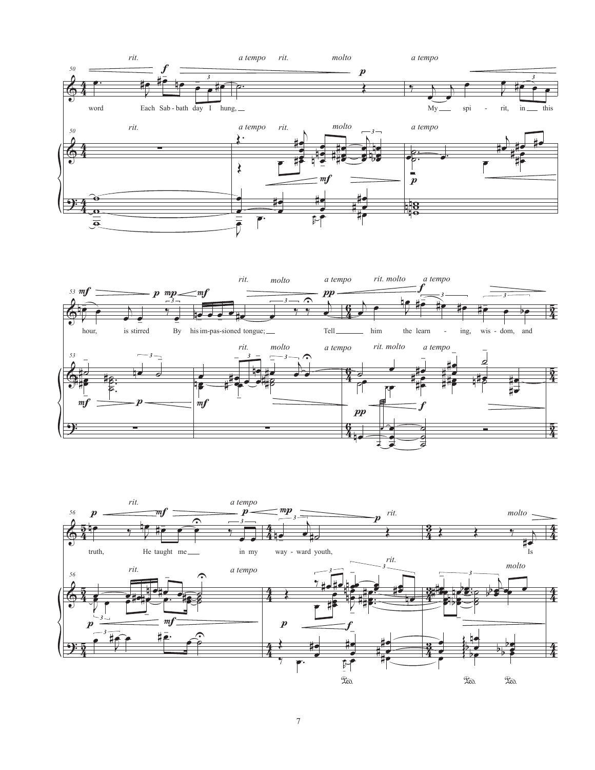